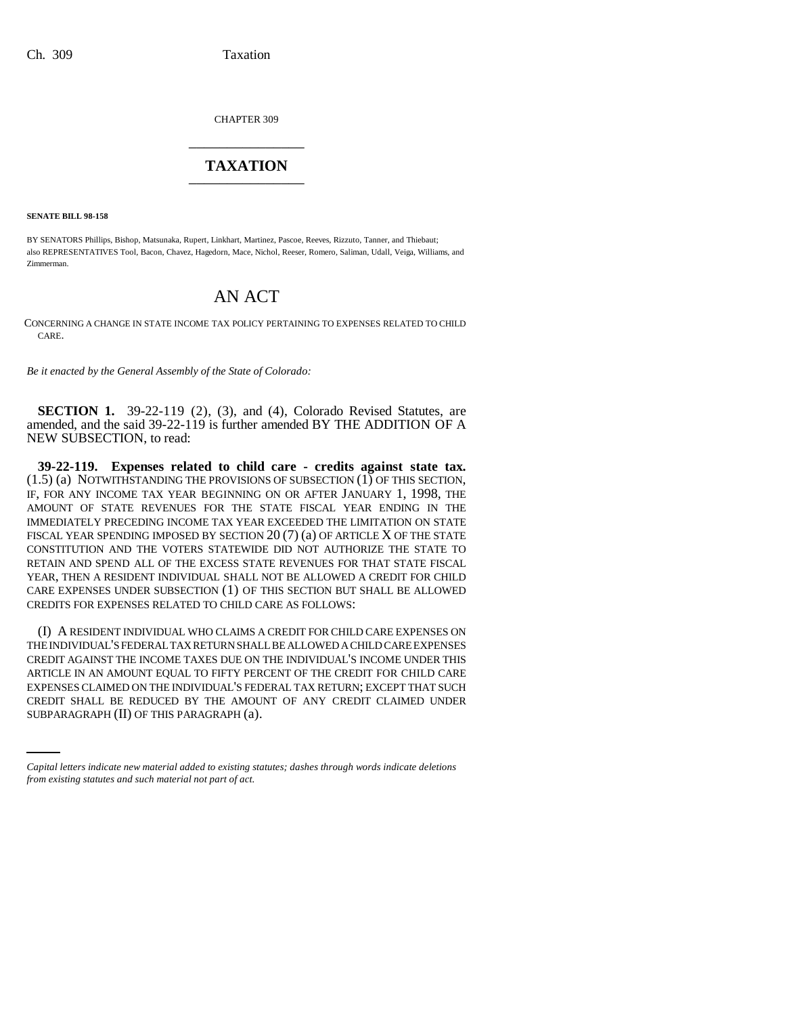CHAPTER 309 \_\_\_\_\_\_\_\_\_\_\_\_\_\_\_

## **TAXATION** \_\_\_\_\_\_\_\_\_\_\_\_\_\_\_

**SENATE BILL 98-158**

BY SENATORS Phillips, Bishop, Matsunaka, Rupert, Linkhart, Martinez, Pascoe, Reeves, Rizzuto, Tanner, and Thiebaut; also REPRESENTATIVES Tool, Bacon, Chavez, Hagedorn, Mace, Nichol, Reeser, Romero, Saliman, Udall, Veiga, Williams, and Zimmerman.

## AN ACT

CONCERNING A CHANGE IN STATE INCOME TAX POLICY PERTAINING TO EXPENSES RELATED TO CHILD CARE.

*Be it enacted by the General Assembly of the State of Colorado:*

**SECTION 1.** 39-22-119 (2), (3), and (4), Colorado Revised Statutes, are amended, and the said 39-22-119 is further amended BY THE ADDITION OF A NEW SUBSECTION, to read:

**39-22-119. Expenses related to child care - credits against state tax.** (1.5) (a) NOTWITHSTANDING THE PROVISIONS OF SUBSECTION (1) OF THIS SECTION, IF, FOR ANY INCOME TAX YEAR BEGINNING ON OR AFTER JANUARY 1, 1998, THE AMOUNT OF STATE REVENUES FOR THE STATE FISCAL YEAR ENDING IN THE IMMEDIATELY PRECEDING INCOME TAX YEAR EXCEEDED THE LIMITATION ON STATE FISCAL YEAR SPENDING IMPOSED BY SECTION  $20(7)(a)$  OF ARTICLE X OF THE STATE CONSTITUTION AND THE VOTERS STATEWIDE DID NOT AUTHORIZE THE STATE TO RETAIN AND SPEND ALL OF THE EXCESS STATE REVENUES FOR THAT STATE FISCAL YEAR, THEN A RESIDENT INDIVIDUAL SHALL NOT BE ALLOWED A CREDIT FOR CHILD CARE EXPENSES UNDER SUBSECTION (1) OF THIS SECTION BUT SHALL BE ALLOWED CREDITS FOR EXPENSES RELATED TO CHILD CARE AS FOLLOWS:

EXPENSES CLAIMED ON THE INDIVIDUAL'S FEDERAL TAX RETURN; EXCEPT THAT SUCH (I) A RESIDENT INDIVIDUAL WHO CLAIMS A CREDIT FOR CHILD CARE EXPENSES ON THE INDIVIDUAL'S FEDERAL TAX RETURN SHALL BE ALLOWED A CHILD CARE EXPENSES CREDIT AGAINST THE INCOME TAXES DUE ON THE INDIVIDUAL'S INCOME UNDER THIS ARTICLE IN AN AMOUNT EQUAL TO FIFTY PERCENT OF THE CREDIT FOR CHILD CARE CREDIT SHALL BE REDUCED BY THE AMOUNT OF ANY CREDIT CLAIMED UNDER SUBPARAGRAPH (II) OF THIS PARAGRAPH (a).

*Capital letters indicate new material added to existing statutes; dashes through words indicate deletions from existing statutes and such material not part of act.*